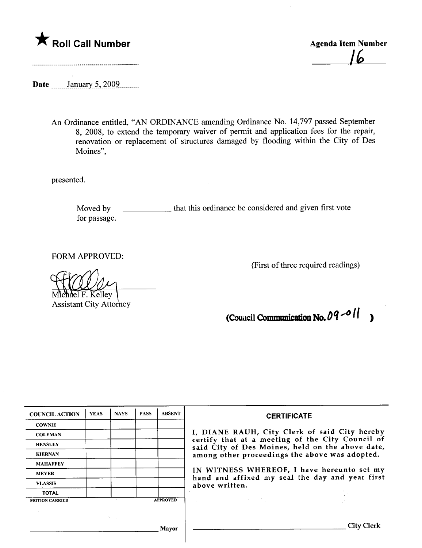

Ib

Date \_\_\_\_\_\_\_January 5, 2009.........

An Ordinance entitled, "AN ORDINANCE amending Ordinance No. 14,797 passed September 8, 2008, to extend the temporary waiver of permit and application fees for the repair, renovation or replacement of structures damaged by flooding within the City of Des Moines",

presented.

Moved by \_\_\_\_\_\_\_\_\_\_\_\_\_\_\_\_ that this ordinance be considered and given first vote for passage.

FORM APPROVED:

(First of three required readings)

Michael F. Kelley<br>Assistant City Attorney

 $\bar{z}$ 

(Council Communication No.  $09 - 0$ 

| <b>COUNCIL ACTION</b> | <b>YEAS</b> | <b>NAYS</b>        | <b>PASS</b> | <b>ABSENT</b>   | <b>CERTIFICATE</b>                                                                                                                                                                                                                                                                                                                                                                                                                                  |  |  |
|-----------------------|-------------|--------------------|-------------|-----------------|-----------------------------------------------------------------------------------------------------------------------------------------------------------------------------------------------------------------------------------------------------------------------------------------------------------------------------------------------------------------------------------------------------------------------------------------------------|--|--|
| <b>COWNIE</b>         |             |                    |             |                 |                                                                                                                                                                                                                                                                                                                                                                                                                                                     |  |  |
| <b>COLEMAN</b>        |             |                    |             |                 | I, DIANE RAUH, City Clerk of said City hereby<br>certify that at a meeting of the City Council of<br>said City of Des Moines, held on the above date,<br>among other proceedings the above was adopted.                                                                                                                                                                                                                                             |  |  |
| <b>HENSLEY</b>        |             |                    |             |                 |                                                                                                                                                                                                                                                                                                                                                                                                                                                     |  |  |
| <b>KIERNAN</b>        |             |                    |             |                 |                                                                                                                                                                                                                                                                                                                                                                                                                                                     |  |  |
| <b>MAHAFFEY</b>       |             |                    |             |                 |                                                                                                                                                                                                                                                                                                                                                                                                                                                     |  |  |
| <b>MEYER</b>          |             |                    |             |                 | IN WITNESS WHEREOF, I have hereunto set my<br>hand and affixed my seal the day and year first                                                                                                                                                                                                                                                                                                                                                       |  |  |
| <b>VLASSIS</b>        |             |                    |             |                 | above written.                                                                                                                                                                                                                                                                                                                                                                                                                                      |  |  |
| <b>TOTAL</b>          |             |                    |             |                 |                                                                                                                                                                                                                                                                                                                                                                                                                                                     |  |  |
| <b>MOTION CARRIED</b> |             |                    |             | <b>APPROVED</b> | $\label{eq:2.1} \mathcal{L}(\mathcal{L}^{\mathcal{L}}_{\mathcal{L}}(\mathcal{L}^{\mathcal{L}}_{\mathcal{L}})) \leq \mathcal{L}(\mathcal{L}^{\mathcal{L}}_{\mathcal{L}}(\mathcal{L}^{\mathcal{L}}_{\mathcal{L}})) \leq \mathcal{L}(\mathcal{L}^{\mathcal{L}}_{\mathcal{L}}(\mathcal{L}^{\mathcal{L}}_{\mathcal{L}})) \leq \mathcal{L}(\mathcal{L}^{\mathcal{L}}_{\mathcal{L}}(\mathcal{L}^{\mathcal{L}}_{\mathcal{L}})) \leq \mathcal{L}(\mathcal{L$ |  |  |
|                       |             |                    |             |                 |                                                                                                                                                                                                                                                                                                                                                                                                                                                     |  |  |
|                       |             | <b>State State</b> |             |                 |                                                                                                                                                                                                                                                                                                                                                                                                                                                     |  |  |
| Mayor                 |             |                    |             |                 | City C                                                                                                                                                                                                                                                                                                                                                                                                                                              |  |  |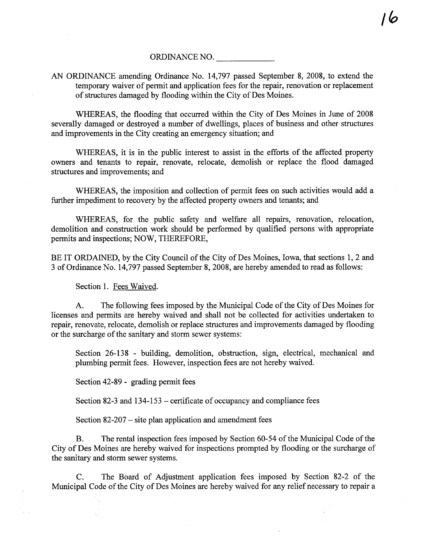ORDINANCE NO.

 $\overline{1}$   $\sigma$ 

AN ORDINANCE amending Ordinance No. 14,797 passed September 8, 2008, to extend the temporary waiver of permit and application fees for the repair, renovation or replacement of structues damaged by flooding within the City of Des Moines.

WHREAS, the flooding that occured within the City of Des Moines in June of 2008 severally damaged or destroyed a number of dwellings, places of business and other structures and improvements in the City creating an emergency situation; and

WHEREAS, it is in the public interest to assist in the efforts of the affected property owners and tenants to repair, renovate, relocate, demolish or replace the flood damaged structures and improvements; and

WHEREAS, the imposition and collection of permit fees on such activities would add a further impediment to recovery by the affected property owners and tenants; and

WHEREAS, for the public safety and welfare all repairs, renovation, relocation, demolition and construction work should be performed by qualified persons with appropriate permits and inspections; NOW, THEREFORE,

BE IT ORDAINED, by the City Council of the City of Des Moines, Iowa, that sections 1, 2 and 3 of Ordinance No. 14,797 passed September 8, 2008, are hereby amended to read as follows:

Section 1. Fees Waived.

A. The following fees imposed by the Muncipal Code of the City of Des Moines for licenses and permits are hereby waived and shall not be collected for activities undertaken to repair, renovate, relocate, demolish or replace structures and improvements damaged by flooding or the surcharge of the sanitary and storm sewer systems:

Section 26-138 - building, demolition, obstruction, sign, electrical, mechanical and plumbing permit fees. However, inspection fees are not hereby waived.

Section 42-89 - grading permit fees

Section 82-3 and 134-153 – certificate of occupancy and compliance fees

Section 82-207 - site plan application and amendment fees

B. The rental inspection fees imposed by Section 60-54 of the Municipal Code of the City of Des Moines are hereby waived for inspections prompted by flooding or the surcharge of the sanitary and storm sewer systems.

C. The Board of Adjustment application fees imposed by Section 82-2 of the Municipal Code of the City of Des Moines are hereby waived for any relief necessary to repair a